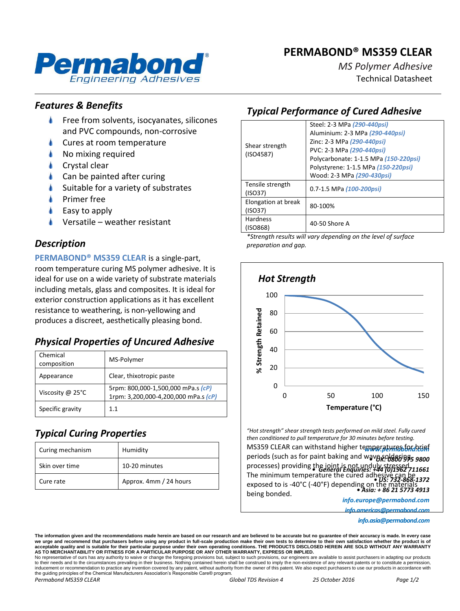## **PERMABOND® MS359 CLEAR**



*MS Polymer Adhesive* Technical Datasheet

### *Features & Benefits*

- Free from solvents, isocyanates, silicones and PVC compounds, non-corrosive
- Cures at room temperature
- No mixing required
- Crystal clear
- Can be painted after curing
- Suitable for a variety of substrates
- Primer free
- Easy to apply
- Versatile weather resistant

### *Description*

**PERMABOND® MS359 CLEAR** is a single-part, room temperature curing MS polymer adhesive. It is ideal for use on a wide variety of substrate materials including metals, glass and composites. It is ideal for exterior construction applications as it has excellent resistance to weathering, is non-yellowing and produces a discreet, aesthetically pleasing bond.

## *Physical Properties of Uncured Adhesive*

| Chemical<br>composition    | MS-Polymer                                                                 |
|----------------------------|----------------------------------------------------------------------------|
| Appearance                 | Clear, thixotropic paste                                                   |
| Viscosity @ $25^{\circ}$ C | 5rpm: 800,000-1,500,000 mPa.s (cP)<br>1rpm: 3,200,000-4,200,000 mPa.s (cP) |
| Specific gravity           | 11                                                                         |

## *Typical Curing Properties*

| Curing mechanism | Humidity               |
|------------------|------------------------|
| Skin over time   | 10-20 minutes          |
| Cure rate        | Approx. 4mm / 24 hours |

# *Typical Performance of Cured Adhesive*

| Shear strength<br>(ISO4587)    | Steel: 2-3 MPa (290-440psi)<br>Aluminium: 2-3 MPa (290-440psi)<br>Zinc: 2-3 MPa (290-440psi)<br>PVC: 2-3 MPa (290-440psi)<br>Polycarbonate: 1-1.5 MPa (150-220psi)<br>Polystyrene: 1-1.5 MPa (150-220psi)<br>Wood: 2-3 MPa (290-430psi) |
|--------------------------------|-----------------------------------------------------------------------------------------------------------------------------------------------------------------------------------------------------------------------------------------|
| Tensile strength<br>(ISO37)    | 0.7-1.5 MPa (100-200psi)                                                                                                                                                                                                                |
| Elongation at break<br>(ISO37) | 80-100%                                                                                                                                                                                                                                 |
| <b>Hardness</b><br>(ISO868)    | 40-50 Shore A                                                                                                                                                                                                                           |

*\*Strength results will vary depending on the level of surface preparation and gap.*



MS359 CLEAR can withstand higher temperatures for brief periods (such as for paint baking and wave *soldering*s 9800 processes) providing the joint is not unduly stressed.<br>Times: +44 **10/1962** 711661 The minimum temperature the cured adhesive can be<br>*• US: 732-868-1372 • 1086 (1985)* described *• US: 732-868-1372 • Asia: + 86 21 5773 4913*  exposed to is -40°C (-40°F) depending on the materials being bonded.

*info.europe@permabond.com*

*info.americas@permabond.com*

*info.asia@permabond.com*

No representative of ours has any authority to waive or change the foregoing provisions but, subject to such provisions, our engineers are available to assist purchasers in adapting our products to their needs and to the circumstances prevailing in their business. Nothing contained herein shall be construed to imply the non-existence of any relevant patents or to constitute a permission,<br>inducement or recommendati the guiding principles of the Chemical Manufacturers Association's Responsible Care® program.

*Permabond MS359 CLEAR Global TDS Revision 4 25 October 2016 Page 1/2*

The information given and the recommendations made herein are based on our research and are believed to be accurate but no guarantee of their accuracy is made. In every case we urge and recommend that purchasers before using any product in full-scale production make their own tests to determine to their own satisfaction whether the produc acceptable quality and is suitable for their particular purpose under their own operating conditions. THE PRODUCTS DISCLOSED HEREIN ARE SOLD WITHOUT ANY WARRANTY<br>AS TO MERCHANTABILITY OR FITNESS FOR A PARTICULAR PURPOSE OR